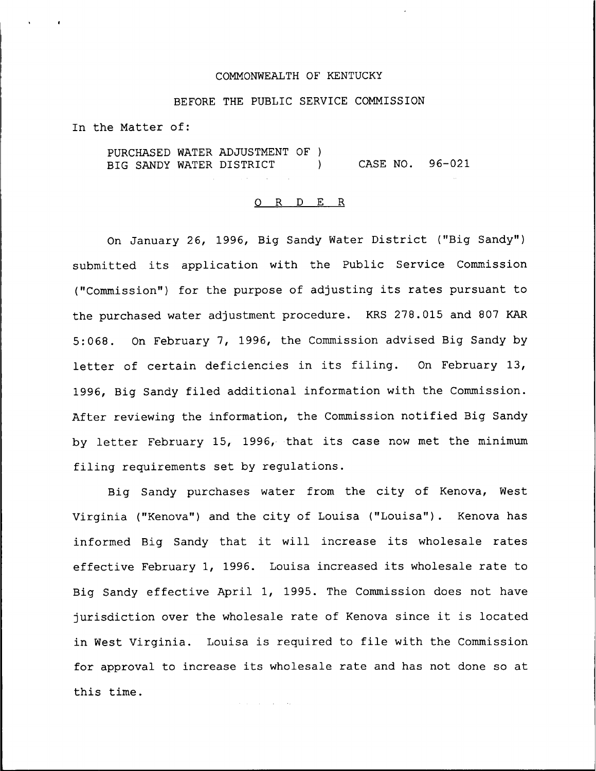## COMMONWEALTH OF KENTUCKY

#### BEFORE THE PUBLIC SERVICE COMMISSION

In the Matter of:

PURCHASED WATER ADJUSTMENT OF ) BIG SANDY WATER DISTRICT (2008) CASE NO. 96-021

#### O R D E R

On January 26, 1996, Big Sandy Water District ("Big Sandy" ) submitted its application with the Public Service Commission ("Commission") for the purpose of adjusting its rates pursuant to the purchased water adjustment procedure. KRS 278.015 and 807 KAR 5:068. On February 7, 1996, the Commission advised Big Sandy by letter of certain deficiencies in its filing. On February 13, 1996, Big Sandy filed additional information with the Commission. After reviewing the information, the Commission notified Big Sandy by letter February 15, 1996, that its case now met the minimum filing requirements set by regulations.

Big Sandy purchases water from the city of Kenova, West Virginia ("Kenova") and the city of Louisa ("Louisa"). Kenova has informed Big Sandy that it will increase its wholesale rates effective February 1, 1996. Louisa increased its wholesale rate to Big Sandy effective April 1, 1995. The Commission does not have jurisdiction over the wholesale rate of Kenova since it is located in West Virginia. Louisa is required to file with the Commission for approval to increase its wholesale rate and has not done so at this time.

and the company of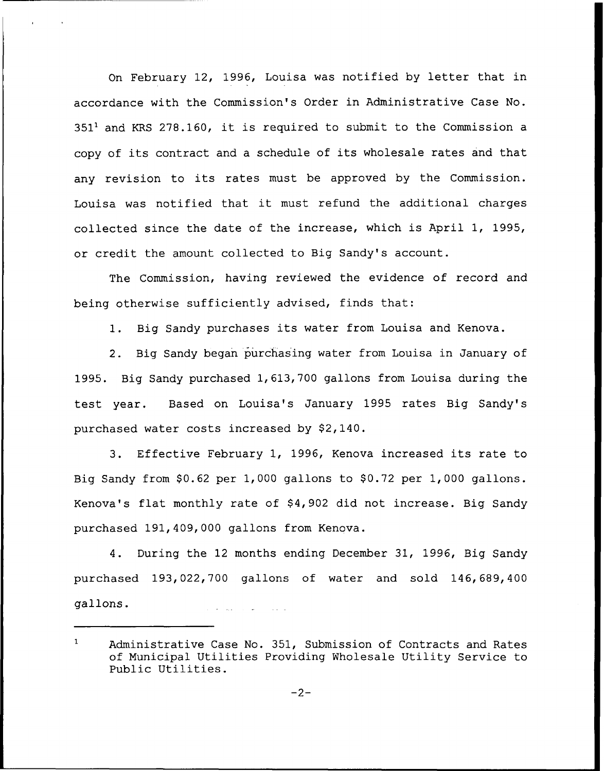On February 12, 1996, Louisa was notified by letter that in accordance with the Commission's Order in Administrative Case No.  $351<sup>1</sup>$  and KRS 278.160, it is required to submit to the Commission a copy of its contract and <sup>a</sup> schedule of its wholesale rates and that any revision to its rates must be approved by the Commission. Louisa was notified that it must refund the additional charges collected since the date of the increase, which is April 1, 1995, or credit the amount collected to Big Sandy's account.

The Commission, having reviewed the evidence of record and being otherwise sufficiently advised, finds that:

1. Big Sandy purchases its water from Louisa and Kenova.

2. Big Sandy began purchasing water from Louisa in January of 1995. Big Sandy purchased 1, 613, 700 gallons from Louisa during the test year. Based on Louisa's January 1995 rates Big Sandy's purchased water costs increased by \$2,140.

3. Effective February 1, 1996, Kenova increased its rate to Big Sandy from  $$0.62$  per 1,000 gallons to  $$0.72$  per 1,000 gallons. Kenova's flat monthly rate of \$4,902 did not increase. Big Sandy purchased 191,409,000 gallons from Kenova.

4. During the 12 months ending December 31, 1996, Big Sandy purchased 193,022,700 gallons of water and sold 146, 689, 400 gallons. **Contract Contract Contract** 

 $\mathbf{1}$ Administrative Case No. 351, Submission of Contracts and Rates of Municipal Utilities Providing Nholesale Utility Service to Public Utilities.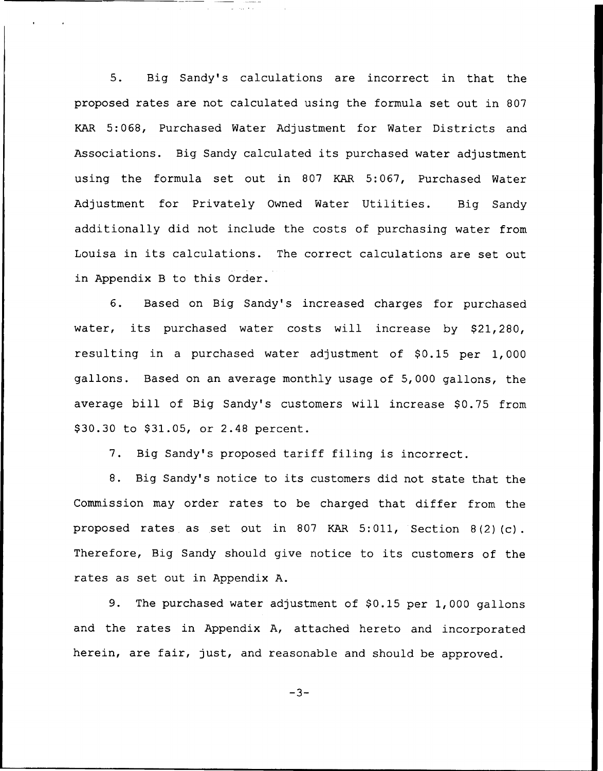5. Big Sandy's calculations are incorrect in that the proposed rates are not calculated using the formula set out in 807 KAR 5:068, Purchased Water Adjustment for Water Districts and Associations. Big Sandy calculated its purchased water adjustment using the formula set out in 807 KAR 5:067, Purchased Water Adjustment for Privately Owned Water Utilities. Big Sandy additionally did not include the costs of purchasing water from Louisa in its calculations. The correct calculations are set out in Appendix B to this Order.

6. Based on Big Sandy's increased charges for purchased water, its purchased water costs will increase by \$21,280, resulting in a purchased water adjustment of \$0.15 per 1,000 gallons. Based on an average monthly usage of 5,000 gallons, the average bill of Big Sandy's customers will increase \$0.75 from \$30.30 to \$31.05, or 2.48 percent.

7. Big Sandy's proposed tariff filing is incorrect.

8. Big Sandy's notice to its customers did not state that the Commission may order rates to be charged that differ from the proposed rates as set out in <sup>807</sup> KAR 5:011, Section 8(2)(c). Therefore, Big Sandy should give notice to its customers of the rates as set out in Appendix A.

9. The purchased water adjustment of \$0.15 per 1,000 gallons and the rates in Appendix A, attached hereto and incorporated herein, are fair, just, and reasonable and should be approved.

 $-3-$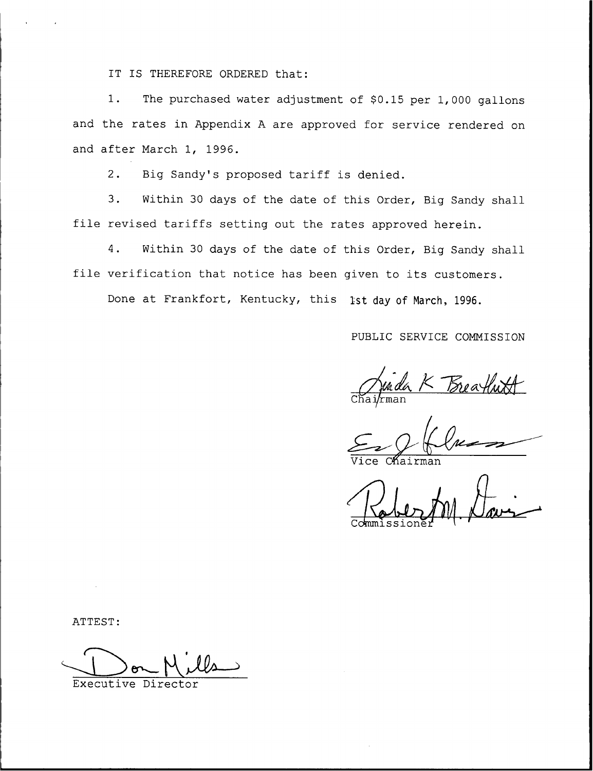IT IS THEREFORE ORDERED that:

1. The purchased water adjustment of \$0.15 per 1,000 gallons and the rates in Appendix <sup>A</sup> are approved for service rendered on and after March 1, 1996.

2. Big Sandy's proposed tariff is denied.

3. Within <sup>30</sup> days of the date of this Order, Big Sandy shall file revised tariffs setting out the rates approved herein.

4. Within 30 days of the date of this Order, Big Sandy shall file verification that notice has been given to its customers.

Done at Frankfort, Kentucky, this 1st day of March, 1996.

PUBLIC SERVICE COMMISSION

Jurda K Breathwith

Vice Chairma

Commissione<sub>1</sub>

ATTEST:

Executive Director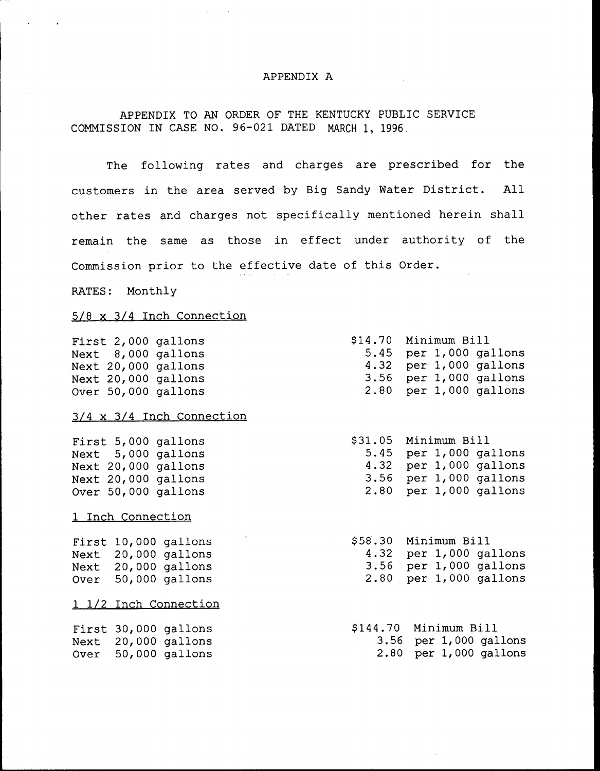## APPENDIX A

# APPENDIX TO AN ORDER OF THE KENTUCKY PUBLIC SERVICE COMMISSION IN CASE NO. 96-021 DATED MARCH 1, 1996.

The following rates and charges are prescribed for the customers in the area served by Big Sandy Water District. All other rates and charges not specifically mentioned herein shall remain the same as those in effect under authority of the Commission prior to the effective date of this Order.

RATES: Monthly

## 5/8 x 3/4 Inch Connection

|  | First 2,000 gallons |
|--|---------------------|
|  | Next 8,000 gallons  |
|  | Next 20,000 gallons |
|  | Next 20,000 gallons |
|  | Over 50,000 gallons |

### 3/4 x 3/4 Inch Connection

|  | First 5,000 gallons |
|--|---------------------|
|  | Next 5,000 gallons  |
|  | Next 20,000 gallons |
|  | Next 20,000 gallons |
|  | Over 50,000 gallons |

### 1 Inch Connection

|      | First 10,000 gallons |
|------|----------------------|
| Next | $20,000$ gallons     |
| Next | $20,000$ gallons     |
| Over | $50,000$ gallons     |

1 1/2 Inch Connection

First 30,000 gallons Next 20,000 gallon Over 50,000 gallon

| \$14.70 | Minimum Bill |                        |
|---------|--------------|------------------------|
| 5.45    |              | per 1,000 gallons      |
|         |              | 4.32 per 1,000 gallons |
|         |              | 3.56 per 1,000 gallons |
|         |              | 2.80 per 1,000 gallons |

\$ 31.05 Minimum Bill 5.45 per 1,000 gallon 4.32 per 1,000 gallon 3.56 per 1,000 gallon 2.80 per 1,000 gallon

\$ 58.30 Minimum Bill 4.32 per 1,000 gallons 3.56 per 1,000 gallons 2.80 per 1,000 gallons

| \$144.70 Minimum Bill |  |                            |
|-----------------------|--|----------------------------|
|                       |  | $3.56$ per $1,000$ gallons |
|                       |  | $2.80$ per $1,000$ gallons |